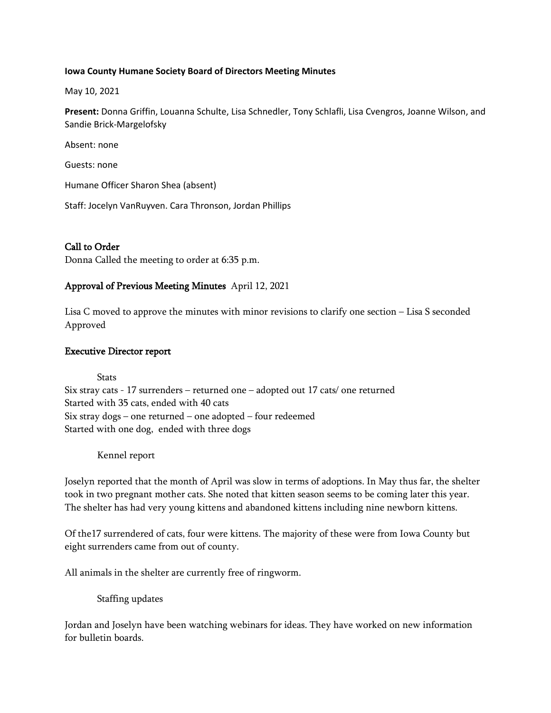#### **Iowa County Humane Society Board of Directors Meeting Minutes**

May 10, 2021

**Present:** Donna Griffin, Louanna Schulte, Lisa Schnedler, Tony Schlafli, Lisa Cvengros, Joanne Wilson, and Sandie Brick-Margelofsky

Absent: none

Guests: none

Humane Officer Sharon Shea (absent)

Staff: Jocelyn VanRuyven. Cara Thronson, Jordan Phillips

# Call to Order

Donna Called the meeting to order at 6:35 p.m.

## Approval of Previous Meeting Minutes April 12, 2021

Lisa C moved to approve the minutes with minor revisions to clarify one section – Lisa S seconded Approved

### Executive Director report

**Stats** 

Six stray cats - 17 surrenders – returned one – adopted out 17 cats/ one returned Started with 35 cats, ended with 40 cats Six stray dogs – one returned – one adopted – four redeemed Started with one dog, ended with three dogs

Kennel report

Joselyn reported that the month of April was slow in terms of adoptions. In May thus far, the shelter took in two pregnant mother cats. She noted that kitten season seems to be coming later this year. The shelter has had very young kittens and abandoned kittens including nine newborn kittens.

Of the17 surrendered of cats, four were kittens. The majority of these were from Iowa County but eight surrenders came from out of county.

All animals in the shelter are currently free of ringworm.

Staffing updates

Jordan and Joselyn have been watching webinars for ideas. They have worked on new information for bulletin boards.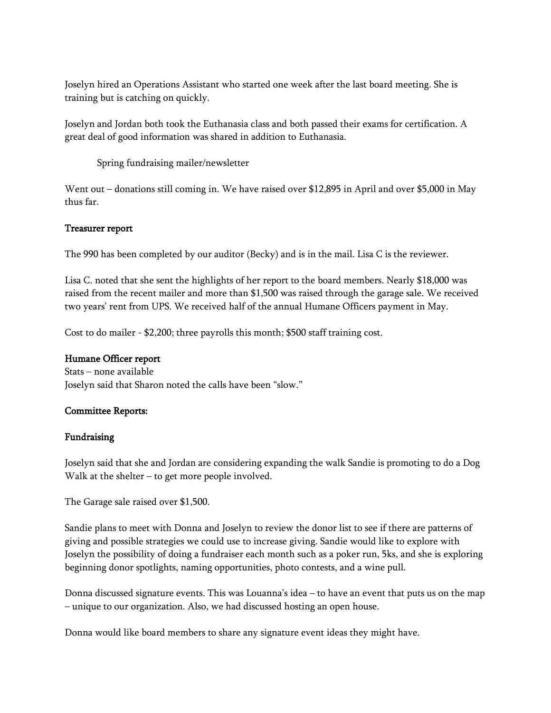Joselyn hired an Operations Assistant who started one week after the last board meeting. She is training but is catching on quickly.

Joselyn and Jordan both took the Euthanasia class and both passed their exams for certification. A great deal of good information was shared in addition to Euthanasia.

Spring fundraising mailer/newsletter

Went out – donations still coming in. We have raised over \$12,895 in April and over \$5,000 in May thus far.

### Treasurer report

The 990 has been completed by our auditor (Becky) and is in the mail. Lisa C is the reviewer.

Lisa C. noted that she sent the highlights of her report to the board members. Nearly \$18,000 was raised from the recent mailer and more than \$1,500 was raised through the garage sale. We received two years' rent from UPS. We received half of the annual Humane Officers payment in May.

Cost to do mailer - \$2,200; three payrolls this month; \$500 staff training cost.

#### Humane Officer report

Stats – none available Joselyn said that Sharon noted the calls have been "slow."

#### Committee Reports:

#### Fundraising

Joselyn said that she and Jordan are considering expanding the walk Sandie is promoting to do a Dog Walk at the shelter – to get more people involved.

The Garage sale raised over \$1,500.

Sandie plans to meet with Donna and Joselyn to review the donor list to see if there are patterns of giving and possible strategies we could use to increase giving. Sandie would like to explore with Joselyn the possibility of doing a fundraiser each month such as a poker run, 5ks, and she is exploring beginning donor spotlights, naming opportunities, photo contests, and a wine pull.

Donna discussed signature events. This was Louanna's idea – to have an event that puts us on the map – unique to our organization. Also, we had discussed hosting an open house.

Donna would like board members to share any signature event ideas they might have.